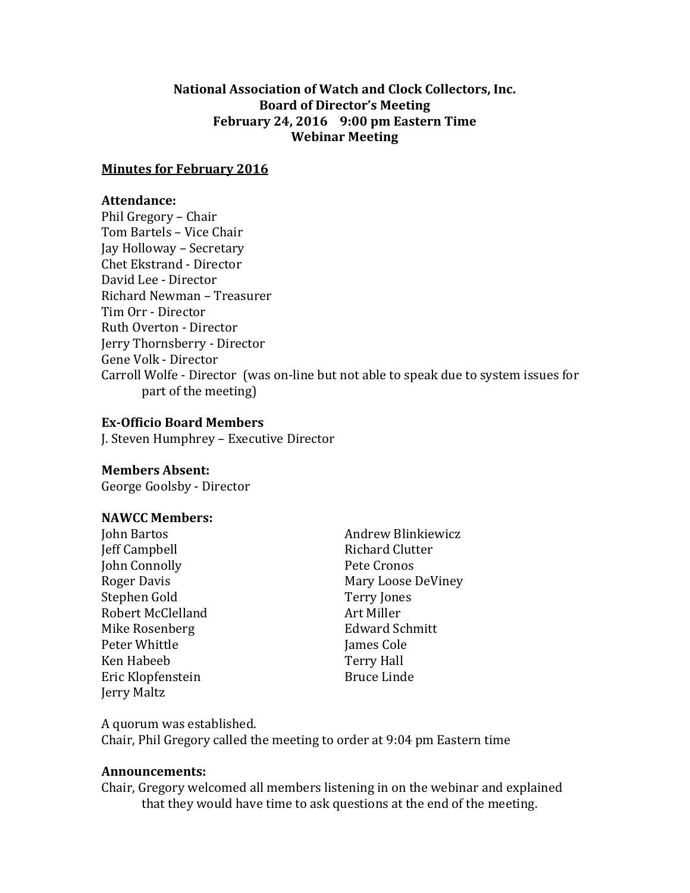## **National Association of Watch and Clock Collectors, Inc. Board of Director's Meeting February 24, 2016 9:00 pm Eastern Time Webinar Meeting**

#### **Minutes for February 2016**

#### **Attendance:**

Phil Gregory – Chair Tom Bartels – Vice Chair Jay Holloway – Secretary Chet Ekstrand - Director David Lee - Director Richard Newman – Treasurer Tim Orr - Director Ruth Overton - Director Jerry Thornsberry - Director Gene Volk - Director Carroll Wolfe - Director (was on-line but not able to speak due to system issues for part of the meeting)

## **Ex-Officio Board Members**

J. Steven Humphrey – Executive Director

## **Members Absent:**

George Goolsby - Director

## **NAWCC Members:**

Jeff Campbell **Richard Clutter** John Connolly Pete Cronos Stephen Gold Terry Jones Robert McClelland Art Miller Mike Rosenberg **Edward Schmitt** Peter Whittle **Internal Cole** Ken Habeeb Terry Hall Eric Klopfenstein Bruce Linde Jerry Maltz

John Bartos **Andrew Blinkiewicz** Roger Davis **Mary Loose DeViney** Mary Loose DeViney

A quorum was established. Chair, Phil Gregory called the meeting to order at 9:04 pm Eastern time

#### **Announcements:**

Chair, Gregory welcomed all members listening in on the webinar and explained that they would have time to ask questions at the end of the meeting.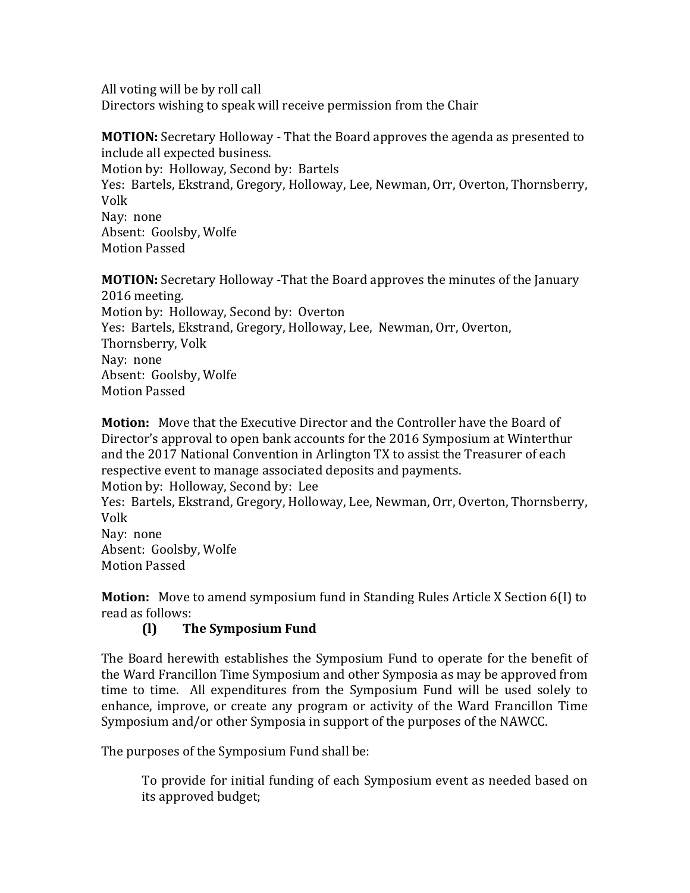All voting will be by roll call Directors wishing to speak will receive permission from the Chair

**MOTION:** Secretary Holloway - That the Board approves the agenda as presented to include all expected business. Motion by: Holloway, Second by: Bartels Yes: Bartels, Ekstrand, Gregory, Holloway, Lee, Newman, Orr, Overton, Thornsberry, Volk Nay: none Absent: Goolsby, Wolfe

Motion Passed

**MOTION:** Secretary Holloway -That the Board approves the minutes of the January 2016 meeting. Motion by: Holloway, Second by: Overton Yes: Bartels, Ekstrand, Gregory, Holloway, Lee, Newman, Orr, Overton, Thornsberry, Volk Nay: none Absent: Goolsby, Wolfe Motion Passed

**Motion:** Move that the Executive Director and the Controller have the Board of Director's approval to open bank accounts for the 2016 Symposium at Winterthur and the 2017 National Convention in Arlington TX to assist the Treasurer of each respective event to manage associated deposits and payments. Motion by: Holloway, Second by: Lee

Yes: Bartels, Ekstrand, Gregory, Holloway, Lee, Newman, Orr, Overton, Thornsberry, Volk

Nay: none Absent: Goolsby, Wolfe Motion Passed

**Motion:** Move to amend symposium fund in Standing Rules Article X Section 6(I) to read as follows:

# **(l) The Symposium Fund**

The Board herewith establishes the Symposium Fund to operate for the benefit of the Ward Francillon Time Symposium and other Symposia as may be approved from time to time. All expenditures from the Symposium Fund will be used solely to enhance, improve, or create any program or activity of the Ward Francillon Time Symposium and/or other Symposia in support of the purposes of the NAWCC.

The purposes of the Symposium Fund shall be:

To provide for initial funding of each Symposium event as needed based on its approved budget;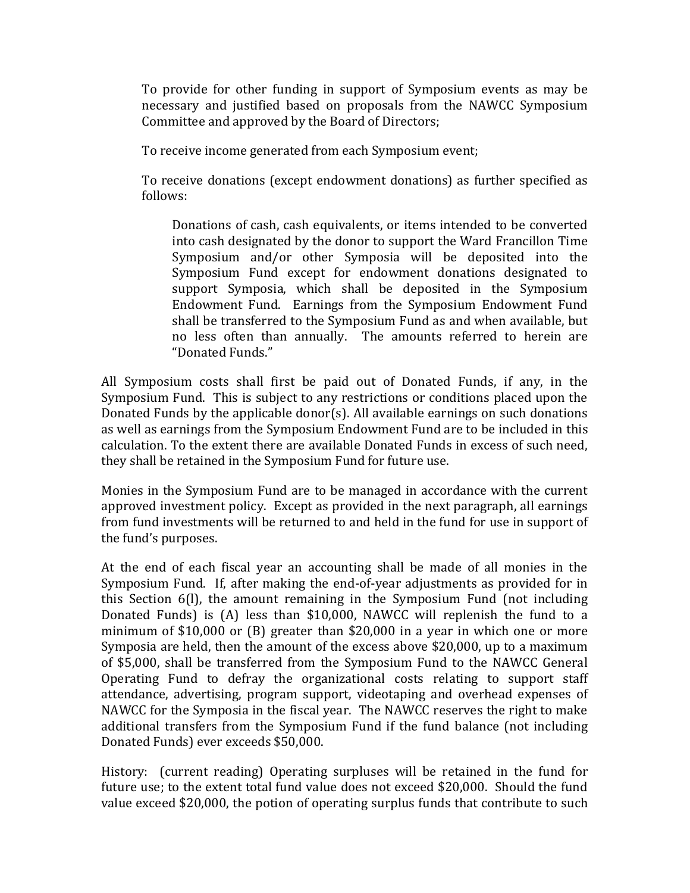To provide for other funding in support of Symposium events as may be necessary and justified based on proposals from the NAWCC Symposium Committee and approved by the Board of Directors;

To receive income generated from each Symposium event;

To receive donations (except endowment donations) as further specified as follows:

Donations of cash, cash equivalents, or items intended to be converted into cash designated by the donor to support the Ward Francillon Time Symposium and/or other Symposia will be deposited into the Symposium Fund except for endowment donations designated to support Symposia, which shall be deposited in the Symposium Endowment Fund. Earnings from the Symposium Endowment Fund shall be transferred to the Symposium Fund as and when available, but no less often than annually. The amounts referred to herein are "Donated Funds."

All Symposium costs shall first be paid out of Donated Funds, if any, in the Symposium Fund. This is subject to any restrictions or conditions placed upon the Donated Funds by the applicable donor(s). All available earnings on such donations as well as earnings from the Symposium Endowment Fund are to be included in this calculation. To the extent there are available Donated Funds in excess of such need, they shall be retained in the Symposium Fund for future use.

Monies in the Symposium Fund are to be managed in accordance with the current approved investment policy. Except as provided in the next paragraph, all earnings from fund investments will be returned to and held in the fund for use in support of the fund's purposes.

At the end of each fiscal year an accounting shall be made of all monies in the Symposium Fund. If, after making the end-of-year adjustments as provided for in this Section 6(l), the amount remaining in the Symposium Fund (not including Donated Funds) is (A) less than \$10,000, NAWCC will replenish the fund to a minimum of \$10,000 or (B) greater than \$20,000 in a year in which one or more Symposia are held, then the amount of the excess above \$20,000, up to a maximum of \$5,000, shall be transferred from the Symposium Fund to the NAWCC General Operating Fund to defray the organizational costs relating to support staff attendance, advertising, program support, videotaping and overhead expenses of NAWCC for the Symposia in the fiscal year. The NAWCC reserves the right to make additional transfers from the Symposium Fund if the fund balance (not including Donated Funds) ever exceeds \$50,000.

History: (current reading) Operating surpluses will be retained in the fund for future use; to the extent total fund value does not exceed \$20,000. Should the fund value exceed \$20,000, the potion of operating surplus funds that contribute to such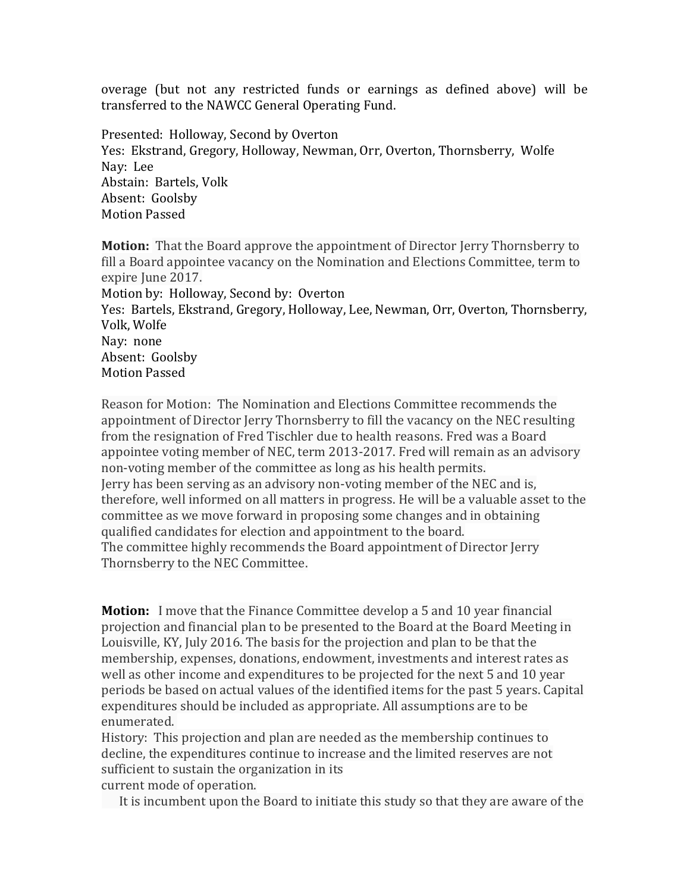overage (but not any restricted funds or earnings as defined above) will be transferred to the NAWCC General Operating Fund.

Presented: Holloway, Second by Overton Yes: Ekstrand, Gregory, Holloway, Newman, Orr, Overton, Thornsberry, Wolfe Nay: Lee Abstain: Bartels, Volk Absent: Goolsby Motion Passed

**Motion:** That the Board approve the appointment of Director Jerry Thornsberry to fill a Board appointee vacancy on the Nomination and Elections Committee, term to expire June 2017. Motion by: Holloway, Second by: Overton Yes: Bartels, Ekstrand, Gregory, Holloway, Lee, Newman, Orr, Overton, Thornsberry, Volk, Wolfe Nay: none Absent: Goolsby Motion Passed

Reason for Motion: The Nomination and Elections Committee recommends the appointment of Director Jerry Thornsberry to fill the vacancy on the NEC resulting from the resignation of Fred Tischler due to health reasons. Fred was a Board appointee voting member of NEC, term 2013-2017. Fred will remain as an advisory non-voting member of the committee as long as his health permits. Jerry has been serving as an advisory non-voting member of the NEC and is, therefore, well informed on all matters in progress. He will be a valuable asset to the committee as we move forward in proposing some changes and in obtaining qualified candidates for election and appointment to the board. The committee highly recommends the Board appointment of Director Jerry Thornsberry to the NEC Committee.

**Motion:** I move that the Finance Committee develop a 5 and 10 year financial projection and financial plan to be presented to the Board at the Board Meeting in Louisville, KY, July 2016. The basis for the projection and plan to be that the membership, expenses, donations, endowment, investments and interest rates as well as other income and expenditures to be projected for the next 5 and 10 year periods be based on actual values of the identified items for the past 5 years. Capital expenditures should be included as appropriate. All assumptions are to be enumerated.

History: This projection and plan are needed as the membership continues to decline, the expenditures continue to increase and the limited reserves are not sufficient to sustain the organization in its current mode of operation.

It is incumbent upon the Board to initiate this study so that they are aware of the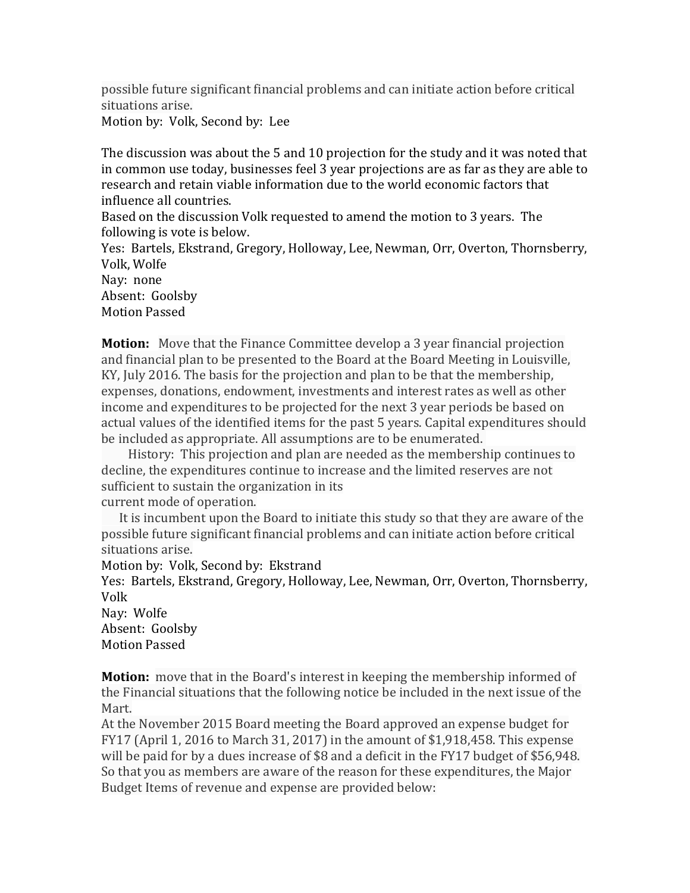possible future significant financial problems and can initiate action before critical situations arise.

Motion by: Volk, Second by: Lee

The discussion was about the 5 and 10 projection for the study and it was noted that in common use today, businesses feel 3 year projections are as far as they are able to research and retain viable information due to the world economic factors that influence all countries.

Based on the discussion Volk requested to amend the motion to 3 years. The following is vote is below.

Yes: Bartels, Ekstrand, Gregory, Holloway, Lee, Newman, Orr, Overton, Thornsberry, Volk, Wolfe

Nay: none

Absent: Goolsby Motion Passed

**Motion:** Move that the Finance Committee develop a 3 year financial projection and financial plan to be presented to the Board at the Board Meeting in Louisville, KY, July 2016. The basis for the projection and plan to be that the membership, expenses, donations, endowment, investments and interest rates as well as other income and expenditures to be projected for the next 3 year periods be based on actual values of the identified items for the past 5 years. Capital expenditures should be included as appropriate. All assumptions are to be enumerated.

 History: This projection and plan are needed as the membership continues to decline, the expenditures continue to increase and the limited reserves are not sufficient to sustain the organization in its current mode of operation.

It is incumbent upon the Board to initiate this study so that they are aware of the

possible future significant financial problems and can initiate action before critical situations arise.

Motion by: Volk, Second by: Ekstrand

Yes: Bartels, Ekstrand, Gregory, Holloway, Lee, Newman, Orr, Overton, Thornsberry, Volk

Nay: Wolfe Absent: Goolsby Motion Passed

**Motion:** move that in the Board's interest in keeping the membership informed of the Financial situations that the following notice be included in the next issue of the Mart.

At the November 2015 Board meeting the Board approved an expense budget for FY17 (April 1, 2016 to March 31, 2017) in the amount of \$1,918,458. This expense will be paid for by a dues increase of \$8 and a deficit in the FY17 budget of \$56,948. So that you as members are aware of the reason for these expenditures, the Major Budget Items of revenue and expense are provided below: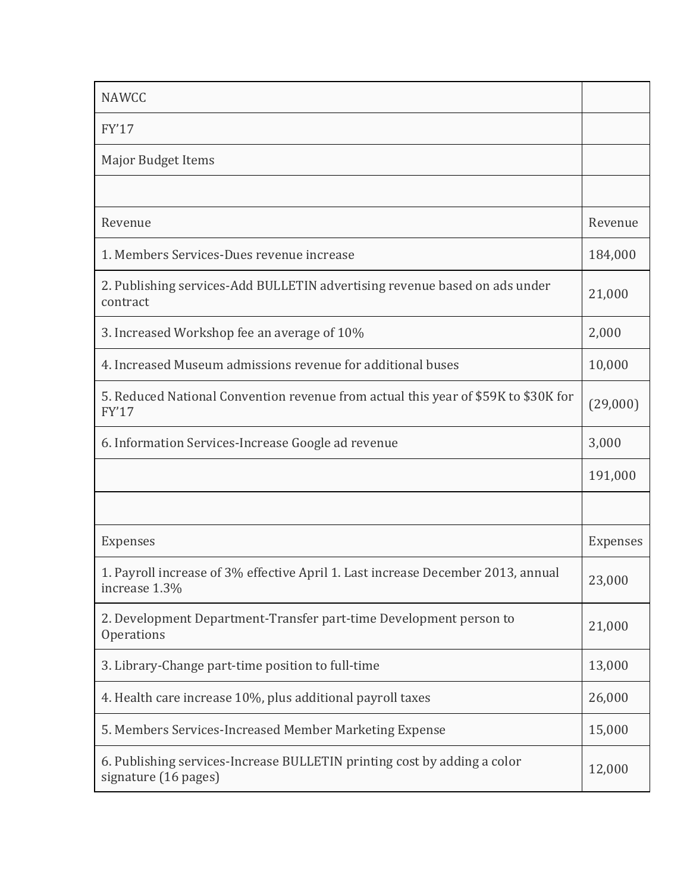| <b>NAWCC</b>                                                                                       |          |
|----------------------------------------------------------------------------------------------------|----------|
| FY'17                                                                                              |          |
| Major Budget Items                                                                                 |          |
|                                                                                                    |          |
| Revenue                                                                                            | Revenue  |
| 1. Members Services-Dues revenue increase                                                          | 184,000  |
| 2. Publishing services-Add BULLETIN advertising revenue based on ads under<br>contract             | 21,000   |
| 3. Increased Workshop fee an average of 10%                                                        | 2,000    |
| 4. Increased Museum admissions revenue for additional buses                                        | 10,000   |
| 5. Reduced National Convention revenue from actual this year of \$59K to \$30K for<br><b>FY'17</b> | (29,000) |
| 6. Information Services-Increase Google ad revenue                                                 | 3,000    |
|                                                                                                    | 191,000  |
|                                                                                                    |          |
| Expenses                                                                                           | Expenses |
| 1. Payroll increase of 3% effective April 1. Last increase December 2013, annual<br>increase 1.3%  | 23,000   |
| 2. Development Department-Transfer part-time Development person to<br>Operations                   | 21,000   |
| 3. Library-Change part-time position to full-time                                                  | 13,000   |
| 4. Health care increase 10%, plus additional payroll taxes                                         | 26,000   |
| 5. Members Services-Increased Member Marketing Expense                                             | 15,000   |
| 6. Publishing services-Increase BULLETIN printing cost by adding a color<br>signature (16 pages)   | 12,000   |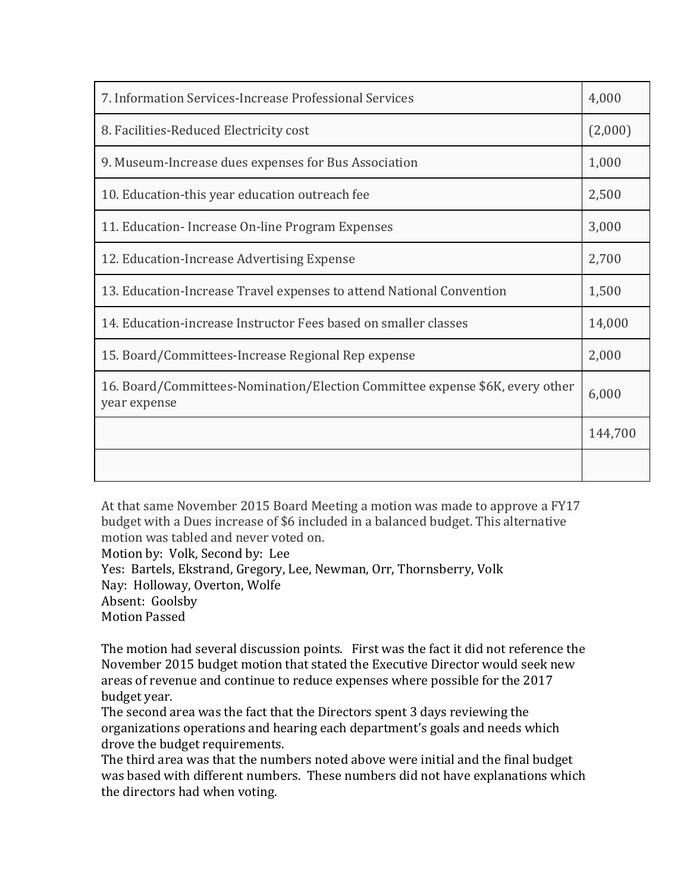| 7. Information Services-Increase Professional Services                                       | 4,000   |
|----------------------------------------------------------------------------------------------|---------|
| 8. Facilities-Reduced Electricity cost                                                       | (2,000) |
| 9. Museum-Increase dues expenses for Bus Association                                         | 1,000   |
| 10. Education-this year education outreach fee                                               | 2,500   |
| 11. Education - Increase On-line Program Expenses                                            | 3,000   |
| 12. Education-Increase Advertising Expense                                                   | 2,700   |
| 13. Education-Increase Travel expenses to attend National Convention                         | 1,500   |
| 14. Education-increase Instructor Fees based on smaller classes                              | 14,000  |
| 15. Board/Committees-Increase Regional Rep expense                                           | 2,000   |
| 16. Board/Committees-Nomination/Election Committee expense \$6K, every other<br>year expense | 6,000   |
|                                                                                              | 144,700 |
|                                                                                              |         |

At that same November 2015 Board Meeting a motion was made to approve a FY17 budget with a Dues increase of \$6 included in a balanced budget. This alternative motion was tabled and never voted on. Motion by: Volk, Second by: Lee Yes: Bartels, Ekstrand, Gregory, Lee, Newman, Orr, Thornsberry, Volk Nay: Holloway, Overton, Wolfe Absent: Goolsby Motion Passed

The motion had several discussion points. First was the fact it did not reference the November 2015 budget motion that stated the Executive Director would seek new areas of revenue and continue to reduce expenses where possible for the 2017 budget year.

The second area was the fact that the Directors spent 3 days reviewing the organizations operations and hearing each department's goals and needs which drove the budget requirements.

The third area was that the numbers noted above were initial and the final budget was based with different numbers. These numbers did not have explanations which the directors had when voting.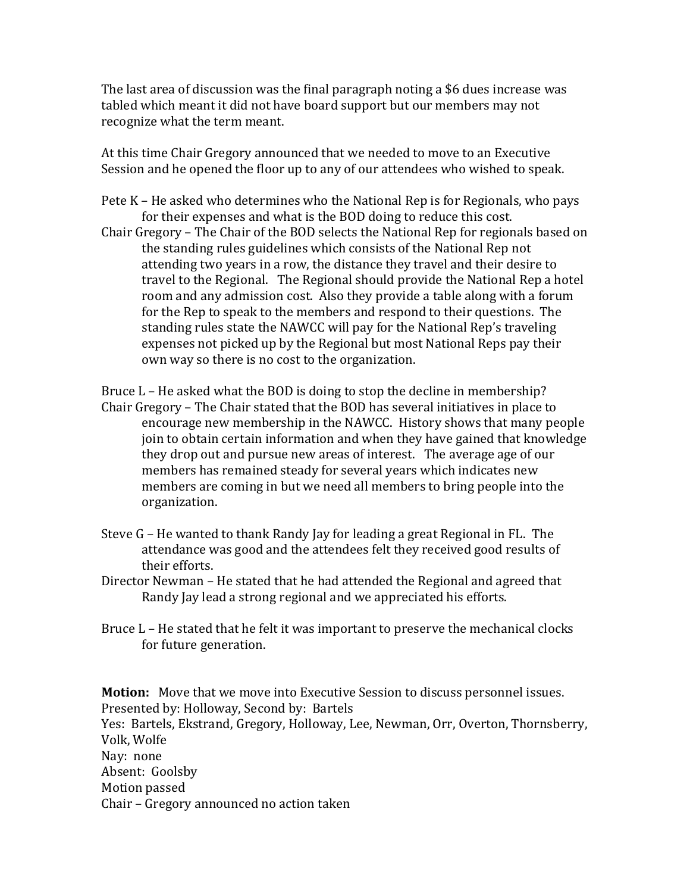The last area of discussion was the final paragraph noting a \$6 dues increase was tabled which meant it did not have board support but our members may not recognize what the term meant.

At this time Chair Gregory announced that we needed to move to an Executive Session and he opened the floor up to any of our attendees who wished to speak.

- Pete K He asked who determines who the National Rep is for Regionals, who pays for their expenses and what is the BOD doing to reduce this cost.
- Chair Gregory The Chair of the BOD selects the National Rep for regionals based on the standing rules guidelines which consists of the National Rep not attending two years in a row, the distance they travel and their desire to travel to the Regional. The Regional should provide the National Rep a hotel room and any admission cost. Also they provide a table along with a forum for the Rep to speak to the members and respond to their questions. The standing rules state the NAWCC will pay for the National Rep's traveling expenses not picked up by the Regional but most National Reps pay their own way so there is no cost to the organization.

Bruce L – He asked what the BOD is doing to stop the decline in membership? Chair Gregory – The Chair stated that the BOD has several initiatives in place to encourage new membership in the NAWCC. History shows that many people join to obtain certain information and when they have gained that knowledge they drop out and pursue new areas of interest. The average age of our members has remained steady for several years which indicates new members are coming in but we need all members to bring people into the organization.

- Steve G He wanted to thank Randy Jay for leading a great Regional in FL. The attendance was good and the attendees felt they received good results of their efforts.
- Director Newman He stated that he had attended the Regional and agreed that Randy Jay lead a strong regional and we appreciated his efforts.
- Bruce L He stated that he felt it was important to preserve the mechanical clocks for future generation.

**Motion:** Move that we move into Executive Session to discuss personnel issues. Presented by: Holloway, Second by: Bartels Yes: Bartels, Ekstrand, Gregory, Holloway, Lee, Newman, Orr, Overton, Thornsberry, Volk, Wolfe Nay: none Absent: Goolsby Motion passed Chair – Gregory announced no action taken